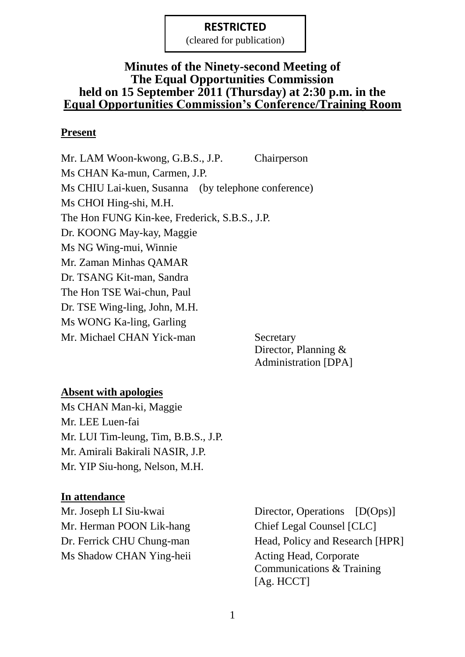(cleared for publication)

## **Minutes of the Ninety-second Meeting of The Equal Opportunities Commission held on 15 September 2011 (Thursday) at 2:30 p.m. in the Equal Opportunities Commission's Conference/Training Room**

## **Present**

Mr. LAM Woon-kwong, G.B.S., J.P. Chairperson Ms CHAN Ka-mun, Carmen, J.P. Ms CHIU Lai-kuen, Susanna (by telephone conference) Ms CHOI Hing-shi, M.H. The Hon FUNG Kin-kee, Frederick, S.B.S., J.P. Dr. KOONG May-kay, Maggie Ms NG Wing-mui, Winnie Mr. Zaman Minhas QAMAR Dr. TSANG Kit-man, Sandra The Hon TSE Wai-chun, Paul Dr. TSE Wing-ling, John, M.H. Ms WONG Ka-ling, Garling Mr. Michael CHAN Yick-man Secretary

Director, Planning & Administration [DPA]

## **Absent with apologies**

Ms CHAN Man-ki, Maggie Mr. LEE Luen-fai Mr. LUI Tim-leung, Tim, B.B.S., J.P. Mr. Amirali Bakirali NASIR, J.P. Mr. YIP Siu-hong, Nelson, M.H.

#### **In attendance**

Mr. Herman POON Lik-hang Chief Legal Counsel [CLC] Ms Shadow CHAN Ying-heii Acting Head, Corporate

Mr. Joseph LI Siu-kwai Director, Operations [D(Ops)] Dr. Ferrick CHU Chung-man Head, Policy and Research [HPR] Communications & Training [Ag. HCCT]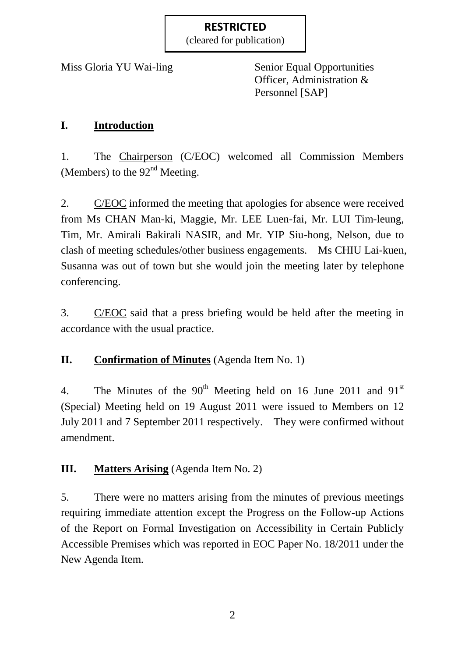(cleared for publication)

Miss Gloria YU Wai-ling Senior Equal Opportunities Officer, Administration & Personnel [SAP]

# **I. Introduction**

1. The Chairperson (C/EOC) welcomed all Commission Members (Members) to the  $92<sup>nd</sup>$  Meeting.

2. C/EOC informed the meeting that apologies for absence were received from Ms CHAN Man-ki, Maggie, Mr. LEE Luen-fai, Mr. LUI Tim-leung, Tim, Mr. Amirali Bakirali NASIR, and Mr. YIP Siu-hong, Nelson, due to clash of meeting schedules/other business engagements. Ms CHIU Lai-kuen, Susanna was out of town but she would join the meeting later by telephone conferencing.

3. C/EOC said that a press briefing would be held after the meeting in accordance with the usual practice.

# **II. Confirmation of Minutes** (Agenda Item No. 1)

4. The Minutes of the  $90<sup>th</sup>$  Meeting held on 16 June 2011 and  $91<sup>st</sup>$ (Special) Meeting held on 19 August 2011 were issued to Members on 12 July 2011 and 7 September 2011 respectively. They were confirmed without amendment.

# **III. Matters Arising** (Agenda Item No. 2)

5. There were no matters arising from the minutes of previous meetings requiring immediate attention except the Progress on the Follow-up Actions of the Report on Formal Investigation on Accessibility in Certain Publicly Accessible Premises which was reported in EOC Paper No. 18/2011 under the New Agenda Item.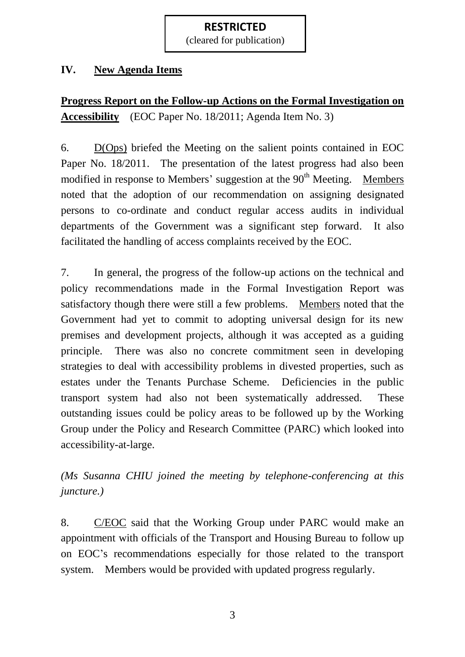(cleared for publication)

## **IV. New Agenda Items**

**Progress Report on the Follow-up Actions on the Formal Investigation on Accessibility** (EOC Paper No. 18/2011; Agenda Item No. 3)

6. D(Ops) briefed the Meeting on the salient points contained in EOC Paper No. 18/2011. The presentation of the latest progress had also been modified in response to Members' suggestion at the  $90<sup>th</sup>$  Meeting. Members noted that the adoption of our recommendation on assigning designated persons to co-ordinate and conduct regular access audits in individual departments of the Government was a significant step forward. It also facilitated the handling of access complaints received by the EOC.

7. In general, the progress of the follow-up actions on the technical and policy recommendations made in the Formal Investigation Report was satisfactory though there were still a few problems. Members noted that the Government had yet to commit to adopting universal design for its new premises and development projects, although it was accepted as a guiding principle. There was also no concrete commitment seen in developing strategies to deal with accessibility problems in divested properties, such as estates under the Tenants Purchase Scheme. Deficiencies in the public transport system had also not been systematically addressed. These outstanding issues could be policy areas to be followed up by the Working Group under the Policy and Research Committee (PARC) which looked into accessibility-at-large.

*(Ms Susanna CHIU joined the meeting by telephone-conferencing at this juncture.)*

8. C/EOC said that the Working Group under PARC would make an appointment with officials of the Transport and Housing Bureau to follow up on EOC's recommendations especially for those related to the transport system. Members would be provided with updated progress regularly.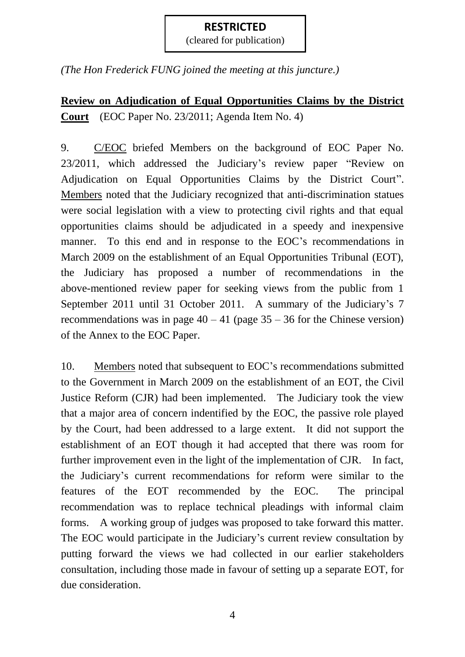(cleared for publication)

*(The Hon Frederick FUNG joined the meeting at this juncture.)*

**Review on Adjudication of Equal Opportunities Claims by the District Court** (EOC Paper No. 23/2011; Agenda Item No. 4)

9. C/EOC briefed Members on the background of EOC Paper No. 23/2011, which addressed the Judiciary's review paper "Review on Adjudication on Equal Opportunities Claims by the District Court". Members noted that the Judiciary recognized that anti-discrimination statues were social legislation with a view to protecting civil rights and that equal opportunities claims should be adjudicated in a speedy and inexpensive manner. To this end and in response to the EOC's recommendations in March 2009 on the establishment of an Equal Opportunities Tribunal (EOT), the Judiciary has proposed a number of recommendations in the above-mentioned review paper for seeking views from the public from 1 September 2011 until 31 October 2011. A summary of the Judiciary's 7 recommendations was in page  $40 - 41$  (page  $35 - 36$  for the Chinese version) of the Annex to the EOC Paper.

10. Members noted that subsequent to EOC's recommendations submitted to the Government in March 2009 on the establishment of an EOT, the Civil Justice Reform (CJR) had been implemented. The Judiciary took the view that a major area of concern indentified by the EOC, the passive role played by the Court, had been addressed to a large extent. It did not support the establishment of an EOT though it had accepted that there was room for further improvement even in the light of the implementation of CJR. In fact, the Judiciary's current recommendations for reform were similar to the features of the EOT recommended by the EOC. The principal recommendation was to replace technical pleadings with informal claim forms. A working group of judges was proposed to take forward this matter. The EOC would participate in the Judiciary's current review consultation by putting forward the views we had collected in our earlier stakeholders consultation, including those made in favour of setting up a separate EOT, for due consideration.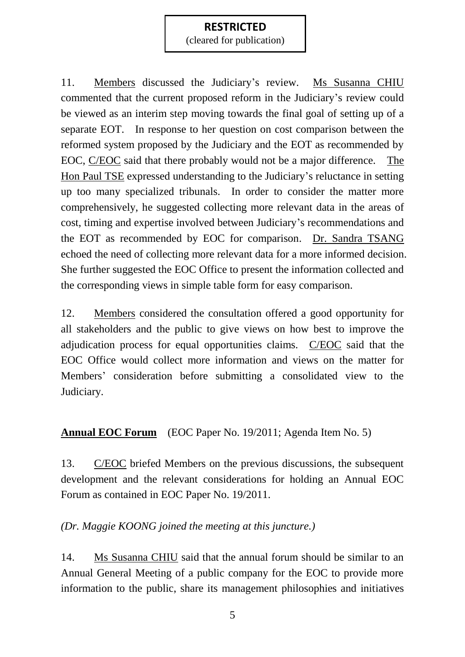(cleared for publication)

11. Members discussed the Judiciary's review. Ms Susanna CHIU commented that the current proposed reform in the Judiciary's review could be viewed as an interim step moving towards the final goal of setting up of a separate EOT. In response to her question on cost comparison between the reformed system proposed by the Judiciary and the EOT as recommended by EOC, C/EOC said that there probably would not be a major difference. The Hon Paul TSE expressed understanding to the Judiciary's reluctance in setting up too many specialized tribunals. In order to consider the matter more comprehensively, he suggested collecting more relevant data in the areas of cost, timing and expertise involved between Judiciary's recommendations and the EOT as recommended by EOC for comparison. Dr. Sandra TSANG echoed the need of collecting more relevant data for a more informed decision. She further suggested the EOC Office to present the information collected and the corresponding views in simple table form for easy comparison.

12. Members considered the consultation offered a good opportunity for all stakeholders and the public to give views on how best to improve the adjudication process for equal opportunities claims. C/EOC said that the EOC Office would collect more information and views on the matter for Members' consideration before submitting a consolidated view to the Judiciary.

**Annual EOC Forum** (EOC Paper No. 19/2011; Agenda Item No. 5)

13. C/EOC briefed Members on the previous discussions, the subsequent development and the relevant considerations for holding an Annual EOC Forum as contained in EOC Paper No. 19/2011.

## *(Dr. Maggie KOONG joined the meeting at this juncture.)*

14. Ms Susanna CHIU said that the annual forum should be similar to an Annual General Meeting of a public company for the EOC to provide more information to the public, share its management philosophies and initiatives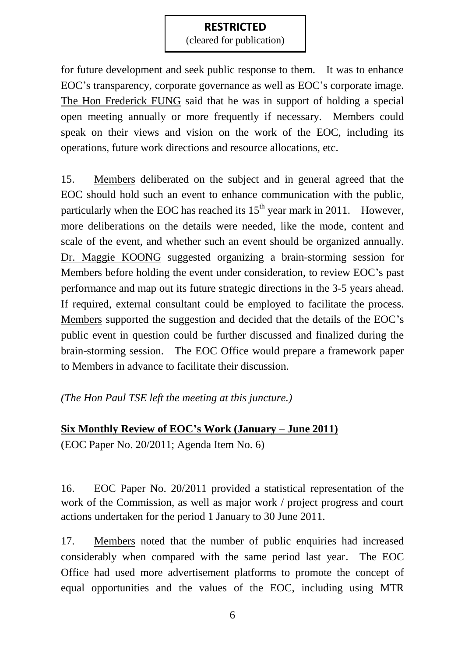(cleared for publication)

for future development and seek public response to them. It was to enhance EOC's transparency, corporate governance as well as EOC's corporate image. The Hon Frederick FUNG said that he was in support of holding a special open meeting annually or more frequently if necessary. Members could speak on their views and vision on the work of the EOC, including its operations, future work directions and resource allocations, etc.

15. Members deliberated on the subject and in general agreed that the EOC should hold such an event to enhance communication with the public, particularly when the EOC has reached its  $15<sup>th</sup>$  year mark in 2011. However, more deliberations on the details were needed, like the mode, content and scale of the event, and whether such an event should be organized annually. Dr. Maggie KOONG suggested organizing a brain-storming session for Members before holding the event under consideration, to review EOC's past performance and map out its future strategic directions in the 3-5 years ahead. If required, external consultant could be employed to facilitate the process. Members supported the suggestion and decided that the details of the EOC's public event in question could be further discussed and finalized during the brain-storming session. The EOC Office would prepare a framework paper to Members in advance to facilitate their discussion.

#### *(The Hon Paul TSE left the meeting at this juncture.)*

# **Six Monthly Review of EOC's Work (January – June 2011)** (EOC Paper No. 20/2011; Agenda Item No. 6)

16. EOC Paper No. 20/2011 provided a statistical representation of the work of the Commission, as well as major work / project progress and court actions undertaken for the period 1 January to 30 June 2011.

17. Members noted that the number of public enquiries had increased considerably when compared with the same period last year. The EOC Office had used more advertisement platforms to promote the concept of equal opportunities and the values of the EOC, including using MTR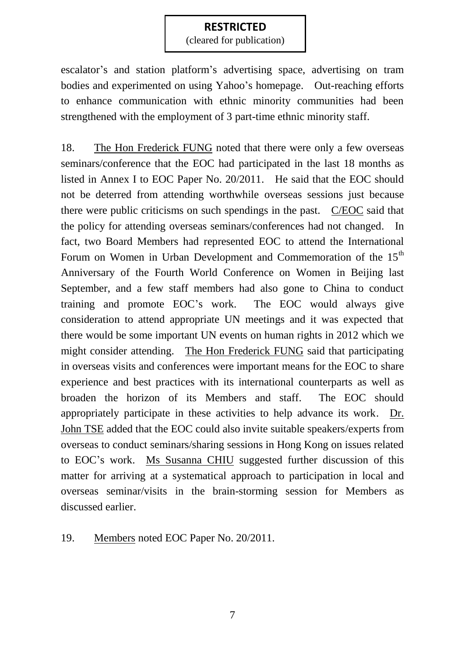(cleared for publication)

escalator's and station platform's advertising space, advertising on tram bodies and experimented on using Yahoo's homepage. Out-reaching efforts to enhance communication with ethnic minority communities had been strengthened with the employment of 3 part-time ethnic minority staff.

18. The Hon Frederick FUNG noted that there were only a few overseas seminars/conference that the EOC had participated in the last 18 months as listed in Annex I to EOC Paper No. 20/2011. He said that the EOC should not be deterred from attending worthwhile overseas sessions just because there were public criticisms on such spendings in the past. C/EOC said that the policy for attending overseas seminars/conferences had not changed. In fact, two Board Members had represented EOC to attend the International Forum on Women in Urban Development and Commemoration of the 15<sup>th</sup> Anniversary of the Fourth World Conference on Women in Beijing last September, and a few staff members had also gone to China to conduct training and promote EOC's work. The EOC would always give consideration to attend appropriate UN meetings and it was expected that there would be some important UN events on human rights in 2012 which we might consider attending. The Hon Frederick FUNG said that participating in overseas visits and conferences were important means for the EOC to share experience and best practices with its international counterparts as well as broaden the horizon of its Members and staff. The EOC should appropriately participate in these activities to help advance its work. Dr. John TSE added that the EOC could also invite suitable speakers/experts from overseas to conduct seminars/sharing sessions in Hong Kong on issues related to EOC's work. Ms Susanna CHIU suggested further discussion of this matter for arriving at a systematical approach to participation in local and overseas seminar/visits in the brain-storming session for Members as discussed earlier.

19. Members noted EOC Paper No. 20/2011.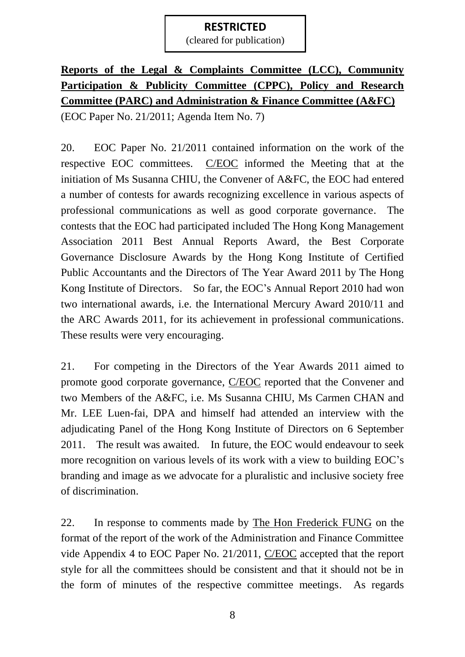(cleared for publication)

# **Reports of the Legal & Complaints Committee (LCC), Community Participation & Publicity Committee (CPPC), Policy and Research Committee (PARC) and Administration & Finance Committee (A&FC)** (EOC Paper No. 21/2011; Agenda Item No. 7)

20. EOC Paper No. 21/2011 contained information on the work of the respective EOC committees. C/EOC informed the Meeting that at the initiation of Ms Susanna CHIU, the Convener of A&FC, the EOC had entered a number of contests for awards recognizing excellence in various aspects of professional communications as well as good corporate governance. The contests that the EOC had participated included The Hong Kong Management Association 2011 Best Annual Reports Award, the Best Corporate Governance Disclosure Awards by the Hong Kong Institute of Certified Public Accountants and the Directors of The Year Award 2011 by The Hong Kong Institute of Directors. So far, the EOC's Annual Report 2010 had won two international awards, i.e. the International Mercury Award 2010/11 and the ARC Awards 2011, for its achievement in professional communications. These results were very encouraging.

21. For competing in the Directors of the Year Awards 2011 aimed to promote good corporate governance, C/EOC reported that the Convener and two Members of the A&FC, i.e. Ms Susanna CHIU, Ms Carmen CHAN and Mr. LEE Luen-fai, DPA and himself had attended an interview with the adjudicating Panel of the Hong Kong Institute of Directors on 6 September 2011. The result was awaited. In future, the EOC would endeavour to seek more recognition on various levels of its work with a view to building EOC's branding and image as we advocate for a pluralistic and inclusive society free of discrimination.

22. In response to comments made by The Hon Frederick FUNG on the format of the report of the work of the Administration and Finance Committee vide Appendix 4 to EOC Paper No. 21/2011, C/EOC accepted that the report style for all the committees should be consistent and that it should not be in the form of minutes of the respective committee meetings. As regards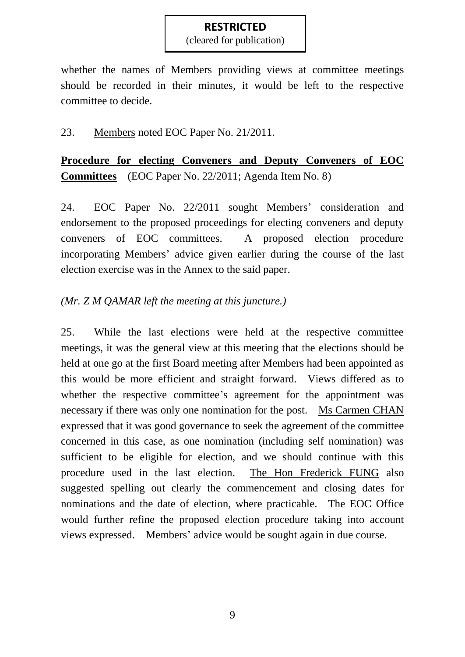(cleared for publication)

whether the names of Members providing views at committee meetings should be recorded in their minutes, it would be left to the respective committee to decide.

23. Members noted EOC Paper No. 21/2011.

**Procedure for electing Conveners and Deputy Conveners of EOC Committees** (EOC Paper No. 22/2011; Agenda Item No. 8)

24. EOC Paper No. 22/2011 sought Members' consideration and endorsement to the proposed proceedings for electing conveners and deputy conveners of EOC committees. A proposed election procedure incorporating Members' advice given earlier during the course of the last election exercise was in the Annex to the said paper.

## *(Mr. Z M QAMAR left the meeting at this juncture.)*

25. While the last elections were held at the respective committee meetings, it was the general view at this meeting that the elections should be held at one go at the first Board meeting after Members had been appointed as this would be more efficient and straight forward. Views differed as to whether the respective committee's agreement for the appointment was necessary if there was only one nomination for the post. Ms Carmen CHAN expressed that it was good governance to seek the agreement of the committee concerned in this case, as one nomination (including self nomination) was sufficient to be eligible for election, and we should continue with this procedure used in the last election. The Hon Frederick FUNG also suggested spelling out clearly the commencement and closing dates for nominations and the date of election, where practicable. The EOC Office would further refine the proposed election procedure taking into account views expressed. Members' advice would be sought again in due course.